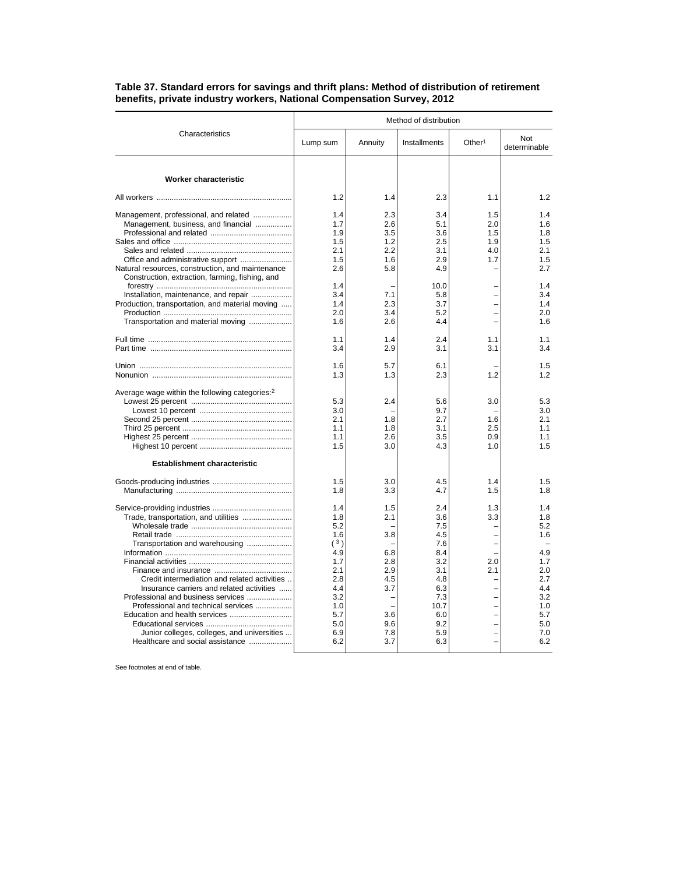|                                                                                                                                                                                                                                                                                                                                                                      | Method of distribution                                                                                       |                                                                                  |                                                                                                               |                                        |                                                                                                       |  |
|----------------------------------------------------------------------------------------------------------------------------------------------------------------------------------------------------------------------------------------------------------------------------------------------------------------------------------------------------------------------|--------------------------------------------------------------------------------------------------------------|----------------------------------------------------------------------------------|---------------------------------------------------------------------------------------------------------------|----------------------------------------|-------------------------------------------------------------------------------------------------------|--|
| Characteristics                                                                                                                                                                                                                                                                                                                                                      | Lump sum                                                                                                     | Annuity                                                                          | Installments                                                                                                  | Other <sup>1</sup>                     | Not<br>determinable                                                                                   |  |
| Worker characteristic                                                                                                                                                                                                                                                                                                                                                |                                                                                                              |                                                                                  |                                                                                                               |                                        |                                                                                                       |  |
|                                                                                                                                                                                                                                                                                                                                                                      | 1.2                                                                                                          | 1.4                                                                              | 2.3                                                                                                           | 1.1                                    | 1.2                                                                                                   |  |
| Management, professional, and related<br>Management, business, and financial<br>Office and administrative support<br>Natural resources, construction, and maintenance                                                                                                                                                                                                | 1.4<br>1.7<br>1.9<br>1.5<br>2.1<br>1.5<br>2.6                                                                | 2.3<br>2.6<br>3.5<br>1.2<br>2.2<br>1.6<br>5.8                                    | 3.4<br>5.1<br>3.6<br>2.5<br>3.1<br>2.9<br>4.9                                                                 | 1.5<br>2.0<br>1.5<br>1.9<br>4.0<br>1.7 | 1.4<br>1.6<br>1.8<br>1.5<br>2.1<br>1.5<br>2.7                                                         |  |
| Construction, extraction, farming, fishing, and<br>Installation, maintenance, and repair<br>Production, transportation, and material moving<br>Transportation and material moving                                                                                                                                                                                    | 1.4<br>3.4<br>1.4<br>2.0<br>1.6                                                                              | 7.1<br>2.3<br>3.4<br>2.6                                                         | 10.0<br>5.8<br>3.7<br>5.2<br>4.4                                                                              |                                        | 1.4<br>3.4<br>1.4<br>2.0<br>1.6                                                                       |  |
|                                                                                                                                                                                                                                                                                                                                                                      | 1.1<br>3.4                                                                                                   | 1.4<br>2.9                                                                       | 2.4<br>3.1                                                                                                    | 1.1<br>3.1                             | 1.1<br>3.4                                                                                            |  |
|                                                                                                                                                                                                                                                                                                                                                                      | 1.6<br>1.3                                                                                                   | 5.7<br>1.3                                                                       | 6.1<br>2.3                                                                                                    | 1.2                                    | 1.5<br>1.2                                                                                            |  |
| Average wage within the following categories: <sup>2</sup>                                                                                                                                                                                                                                                                                                           | 5.3<br>3.0<br>2.1<br>1.1<br>1.1<br>1.5                                                                       | 2.4<br>1.8<br>1.8<br>2.6<br>3.0                                                  | 5.6<br>9.7<br>2.7<br>3.1<br>3.5<br>4.3                                                                        | 3.0<br>1.6<br>2.5<br>0.9<br>1.0        | 5.3<br>3.0<br>21<br>1.1<br>1.1<br>1.5                                                                 |  |
| <b>Establishment characteristic</b>                                                                                                                                                                                                                                                                                                                                  |                                                                                                              |                                                                                  |                                                                                                               |                                        |                                                                                                       |  |
|                                                                                                                                                                                                                                                                                                                                                                      | 1.5<br>1.8                                                                                                   | 3.0<br>3.3                                                                       | 4.5<br>4.7                                                                                                    | 1.4<br>1.5                             | 1.5<br>1.8                                                                                            |  |
| Trade, transportation, and utilities<br>Transportation and warehousing<br>Credit intermediation and related activities<br>Insurance carriers and related activities<br>Professional and business services<br>Professional and technical services<br>Education and health services<br>Junior colleges, colleges, and universities<br>Healthcare and social assistance | 1.4<br>1.8<br>5.2<br>1.6<br>(3)<br>4.9<br>1.7<br>2.1<br>2.8<br>4.4<br>3.2<br>1.0<br>5.7<br>5.0<br>6.9<br>6.2 | 1.5<br>2.1<br>3.8<br>6.8<br>2.8<br>2.9<br>4.5<br>3.7<br>3.6<br>9.6<br>7.8<br>3.7 | 2.4<br>3.6<br>7.5<br>4.5<br>7.6<br>8.4<br>3.2<br>3.1<br>4.8<br>6.3<br>7.3<br>10.7<br>6.0<br>9.2<br>5.9<br>6.3 | 1.3<br>3.3<br>2.0<br>2.1               | 1.4<br>1.8<br>5.2<br>1.6<br>4.9<br>1.7<br>2.0<br>2.7<br>4.4<br>3.2<br>1.0<br>5.7<br>5.0<br>7.0<br>6.2 |  |

## **Table 37. Standard errors for savings and thrift plans: Method of distribution of retirement benefits, private industry workers, National Compensation Survey, 2012**

See footnotes at end of table.